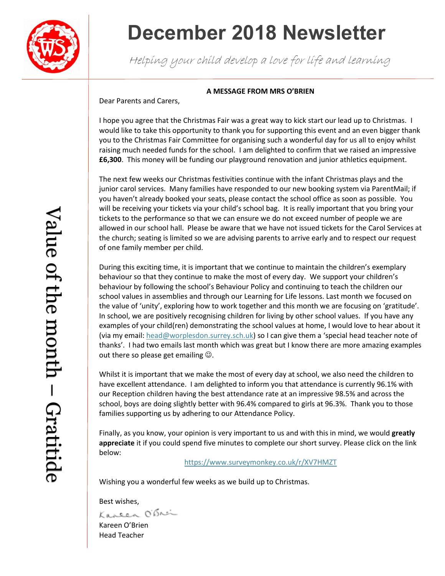

## **December 2018 Newsletter**

Helping your child develop a love for life and learning

#### **A MESSAGE FROM MRS O'BRIEN**

Dear Parents and Carers,

I hope you agree that the Christmas Fair was a great way to kick start our lead up to Christmas. I would like to take this opportunity to thank you for supporting this event and an even bigger thank you to the Christmas Fair Committee for organising such a wonderful day for us all to enjoy whilst raising much needed funds for the school. I am delighted to confirm that we raised an impressive **£6,300**. This money will be funding our playground renovation and junior athletics equipment.

The next few weeks our Christmas festivities continue with the infant Christmas plays and the junior carol services. Many families have responded to our new booking system via ParentMail; if you haven't already booked your seats, please contact the school office as soon as possible. You will be receiving your tickets via your child's school bag. It is really important that you bring your tickets to the performance so that we can ensure we do not exceed number of people we are allowed in our school hall. Please be aware that we have not issued tickets for the Carol Services at the church; seating is limited so we are advising parents to arrive early and to respect our request of one family member per child.

During this exciting time, it is important that we continue to maintain the children's exemplary behaviour so that they continue to make the most of every day. We support your children's behaviour by following the school's Behaviour Policy and continuing to teach the children our school values in assemblies and through our Learning for Life lessons. Last month we focused on the value of 'unity', exploring how to work together and this month we are focusing on 'gratitude'. In school, we are positively recognising children for living by other school values. If you have any examples of your child(ren) demonstrating the school values at home, I would love to hear about it (via my email: [head@worplesdon.surrey.sch.uk](mailto:head@worplesdon.surrey.sch.uk)) so I can give them a 'special head teacher note of thanks'. I had two emails last month which was great but I know there are more amazing examples out there so please get emailing  $\odot$ .

Whilst it is important that we make the most of every day at school, we also need the children to have excellent attendance. I am delighted to inform you that attendance is currently 96.1% with our Reception children having the best attendance rate at an impressive 98.5% and across the school, boys are doing slightly better with 96.4% compared to girls at 96.3%. Thank you to those families supporting us by adhering to our Attendance Policy.

Finally, as you know, your opinion is very important to us and with this in mind, we would **greatly appreciate** it if you could spend five minutes to complete our short survey. Please click on the link below:

<https://www.surveymonkey.co.uk/r/XV7HMZT>

Wishing you a wonderful few weeks as we build up to Christmas.

Best wishes,<br>Kaneen O'Brei

Kareen O'Brien Head Teacher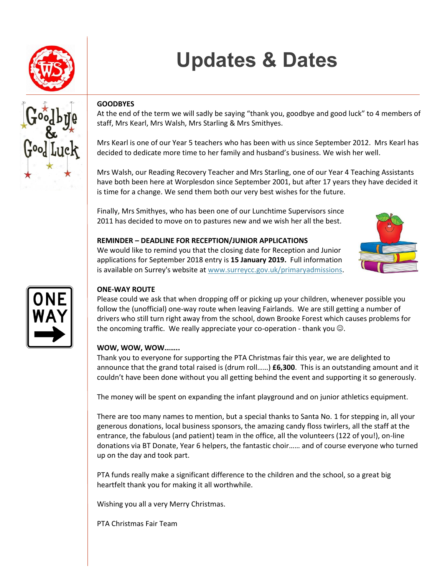

# **Updates & Dates**



## **GOODBYES**

At the end of the term we will sadly be saying "thank you, goodbye and good luck" to 4 members of staff, Mrs Kearl, Mrs Walsh, Mrs Starling & Mrs Smithyes.

Mrs Kearl is one of our Year 5 teachers who has been with us since September 2012. Mrs Kearl has decided to dedicate more time to her family and husband's business. We wish her well.

Mrs Walsh, our Reading Recovery Teacher and Mrs Starling, one of our Year 4 Teaching Assistants have both been here at Worplesdon since September 2001, but after 17 years they have decided it is time for a change. We send them both our very best wishes for the future.

Finally, Mrs Smithyes, who has been one of our Lunchtime Supervisors since 2011 has decided to move on to pastures new and we wish her all the best.

### **REMINDER – DEADLINE FOR RECEPTION/JUNIOR APPLICATIONS**

We would like to remind you that the closing date for Reception and Junior applications for September 2018 entry is **15 January 2019.** Full information is available on Surrey's website at [www.surreycc.gov.uk/primaryadmissions.](http://www.surreycc.gov.uk/primaryadmissions)





### **ONE-WAY ROUTE**

Please could we ask that when dropping off or picking up your children, whenever possible you follow the (unofficial) one-way route when leaving Fairlands. We are still getting a number of drivers who still turn right away from the school, down Brooke Forest which causes problems for the oncoming traffic. We really appreciate your co-operation - thank you  $\odot$ .

## **WOW, WOW, WOW……..**

Thank you to everyone for supporting the PTA Christmas fair this year, we are delighted to announce that the grand total raised is (drum roll……) **£6,300**. This is an outstanding amount and it couldn't have been done without you all getting behind the event and supporting it so generously.

The money will be spent on expanding the infant playground and on junior athletics equipment.

There are too many names to mention, but a special thanks to Santa No. 1 for stepping in, all your generous donations, local business sponsors, the amazing candy floss twirlers, all the staff at the entrance, the fabulous (and patient) team in the office, all the volunteers (122 of you!), on-line donations via BT Donate, Year 6 helpers, the fantastic choir…… and of course everyone who turned up on the day and took part.

PTA funds really make a significant difference to the children and the school, so a great big heartfelt thank you for making it all worthwhile.

Wishing you all a very Merry Christmas.

PTA Christmas Fair Team